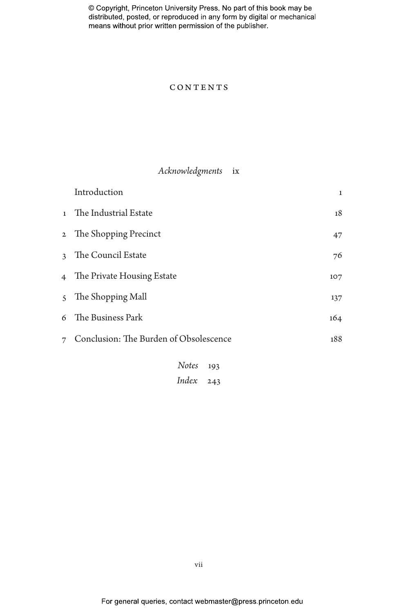### **CONTENTS**

## *Acknowledgments* ix

|                | Introduction                           | $\mathbf{1}$ |
|----------------|----------------------------------------|--------------|
| $\mathbf{1}$   | The Industrial Estate                  | 18           |
|                | 2 The Shopping Precinct                | 47           |
| $\mathbf{R}$   | The Council Estate                     | 76           |
| $\overline{4}$ | The Private Housing Estate             | 107          |
| $\zeta$        | The Shopping Mall                      | 137          |
| 6              | The Business Park                      | 164          |
| 7              | Conclusion: The Burden of Obsolescence | 188          |
|                | <b>Notes</b><br>193                    |              |

*Index* 243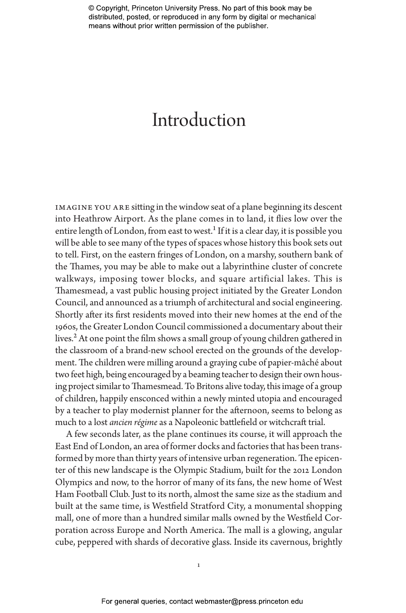# Introduction

imagine you are sitting in the window seat of a plane beginning its descent into Heathrow Airport. As the plane comes in to land, it flies low over the entire length of London, from east to west.<sup>1</sup> If it is a clear day, it is possible you will be able to see many of the types of spaces whose history this book sets out to tell. First, on the eastern fringes of London, on a marshy, southern bank of the Thames, you may be able to make out a labyrinthine cluster of concrete walkways, imposing tower blocks, and square artificial lakes. This is Thamesmead, a vast public housing project initiated by the Greater London Council, and announced as a triumph of architectural and social engineering. Shortly after its first residents moved into their new homes at the end of the 1960s, the Greater London Council commissioned a documentary about their lives.<sup>2</sup> At one point the film shows a small group of young children gathered in the classroom of a brand-new school erected on the grounds of the development. The children were milling around a graying cube of papier-mâché about two feet high, being encouraged by a beaming teacher to design their own housing project similar to Thamesmead. To Britons alive today, this image of a group of children, happily ensconced within a newly minted utopia and encouraged by a teacher to play modernist planner for the afternoon, seems to belong as much to a lost *ancien régime* as a Napoleonic battlefield or witchcraft trial.

A few seconds later, as the plane continues its course, it will approach the East End of London, an area of former docks and factories that has been transformed by more than thirty years of intensive urban regeneration. The epicenter of this new landscape is the Olympic Stadium, built for the 2012 London Olympics and now, to the horror of many of its fans, the new home of West Ham Football Club. Just to its north, almost the same size as the stadium and built at the same time, is Westfield Stratford City, a monumental shopping mall, one of more than a hundred similar malls owned by the Westfield Corporation across Europe and North America. The mall is a glowing, angular cube, peppered with shards of decorative glass. Inside its cavernous, brightly

1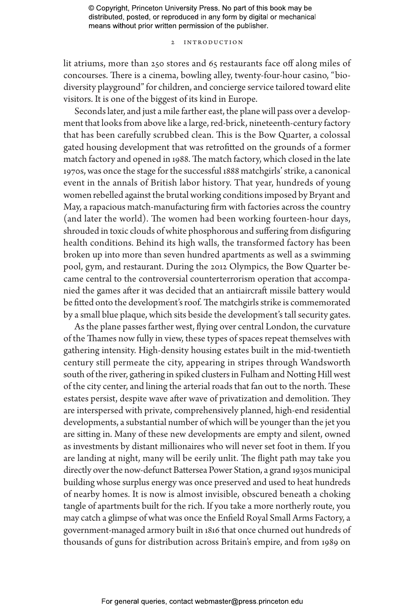#### 2 Introduction

lit atriums, more than 250 stores and 65 restaurants face off along miles of concourses. There is a cinema, bowling alley, twenty-four-hour casino, "biodiversity playground" for children, and concierge service tailored toward elite visitors. It is one of the biggest of its kind in Europe.

Seconds later, and just a mile farther east, the plane will pass over a development that looks from above like a large, red-brick, nineteenth-century factory that has been carefully scrubbed clean. This is the Bow Quarter, a colossal gated housing development that was retrofitted on the grounds of a former match factory and opened in 1988. The match factory, which closed in the late 1970s, was once the stage for the successful 1888 matchgirls' strike, a canonical event in the annals of British labor history. That year, hundreds of young women rebelled against the brutal working conditions imposed by Bryant and May, a rapacious match-manufacturing firm with factories across the country (and later the world). The women had been working fourteen-hour days, shrouded in toxic clouds of white phosphorous and suffering from disfiguring health conditions. Behind its high walls, the transformed factory has been broken up into more than seven hundred apartments as well as a swimming pool, gym, and restaurant. During the 2012 Olympics, the Bow Quarter became central to the controversial counterterrorism operation that accompanied the games after it was decided that an antiaircraft missile battery would be fitted onto the development's roof. The matchgirls strike is commemorated by a small blue plaque, which sits beside the development's tall security gates.

As the plane passes farther west, flying over central London, the curvature of the Thames now fully in view, these types of spaces repeat themselves with gathering intensity. High-density housing estates built in the mid-twentieth century still permeate the city, appearing in stripes through Wandsworth south of the river, gathering in spiked clusters in Fulham and Notting Hill west of the city center, and lining the arterial roads that fan out to the north. These estates persist, despite wave after wave of privatization and demolition. They are interspersed with private, comprehensively planned, high-end residential developments, a substantial number of which will be younger than the jet you are sitting in. Many of these new developments are empty and silent, owned as investments by distant millionaires who will never set foot in them. If you are landing at night, many will be eerily unlit. The flight path may take you directly over the now-defunct Battersea Power Station, a grand 1930s municipal building whose surplus energy was once preserved and used to heat hundreds of nearby homes. It is now is almost invisible, obscured beneath a choking tangle of apartments built for the rich. If you take a more northerly route, you may catch a glimpse of what was once the Enfield Royal Small Arms Factory, a government-managed armory built in 1816 that once churned out hundreds of thousands of guns for distribution across Britain's empire, and from 1989 on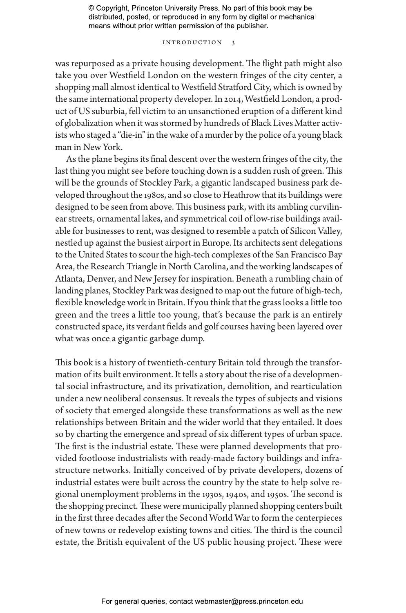#### Introduction 3

was repurposed as a private housing development. The flight path might also take you over Westfield London on the western fringes of the city center, a shopping mall almost identical to Westfield Stratford City, which is owned by the same international property developer. In 2014, Westfield London, a product of US suburbia, fell victim to an unsanctioned eruption of a different kind of globalization when it was stormed by hundreds of Black Lives Matter activists who staged a "die-in" in the wake of a murder by the police of a young black man in New York.

As the plane begins its final descent over the western fringes of the city, the last thing you might see before touching down is a sudden rush of green. This will be the grounds of Stockley Park, a gigantic landscaped business park developed throughout the 1980s, and so close to Heathrow that its buildings were designed to be seen from above. This business park, with its ambling curvilinear streets, ornamental lakes, and symmetrical coil of low-rise buildings available for businesses to rent, was designed to resemble a patch of Silicon Valley, nestled up against the busiest airport in Europe. Its architects sent delegations to the United States to scour the high-tech complexes of the San Francisco Bay Area, the Research Triangle in North Carolina, and the working landscapes of Atlanta, Denver, and New Jersey for inspiration. Beneath a rumbling chain of landing planes, Stockley Park was designed to map out the future of high-tech, flexible knowledge work in Britain. If you think that the grass looks a little too green and the trees a little too young, that's because the park is an entirely constructed space, its verdant fields and golf courses having been layered over what was once a gigantic garbage dump.

This book is a history of twentieth-century Britain told through the transformation of its built environment. It tells a story about the rise of a developmental social infrastructure, and its privatization, demolition, and rearticulation under a new neoliberal consensus. It reveals the types of subjects and visions of society that emerged alongside these transformations as well as the new relationships between Britain and the wider world that they entailed. It does so by charting the emergence and spread of six different types of urban space. The first is the industrial estate. These were planned developments that provided footloose industrialists with ready-made factory buildings and infrastructure networks. Initially conceived of by private developers, dozens of industrial estates were built across the country by the state to help solve regional unemployment problems in the 1930s, 1940s, and 1950s. The second is the shopping precinct. These were municipally planned shopping centers built in the first three decades after the Second World War to form the centerpieces of new towns or redevelop existing towns and cities. The third is the council estate, the British equivalent of the US public housing project. These were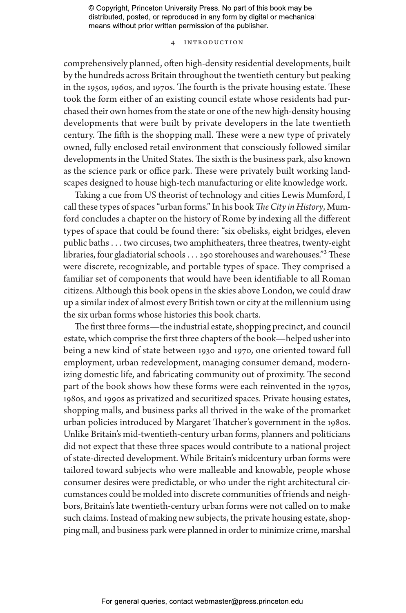#### 4 Introduction

comprehensively planned, often high-density residential developments, built by the hundreds across Britain throughout the twentieth century but peaking in the 1950s, 1960s, and 1970s. The fourth is the private housing estate. These took the form either of an existing council estate whose residents had purchased their own homes from the state or one of the new high-density housing developments that were built by private developers in the late twentieth century. The fifth is the shopping mall. These were a new type of privately owned, fully enclosed retail environment that consciously followed similar developments in the United States. The sixth is the business park, also known as the science park or office park. These were privately built working landscapes designed to house high-tech manufacturing or elite knowledge work.

Taking a cue from US theorist of technology and cities Lewis Mumford, I call these types of spaces "urban forms." In his book *The City in History*, Mumford concludes a chapter on the history of Rome by indexing all the different types of space that could be found there: "six obelisks, eight bridges, eleven public baths . . . two circuses, two amphitheaters, three theatres, twenty-eight libraries, four gladiatorial schools  $\dots$  290 storehouses and warehouses."<sup>3</sup> These were discrete, recognizable, and portable types of space. They comprised a familiar set of components that would have been identifiable to all Roman citizens. Although this book opens in the skies above London, we could draw up a similar index of almost every British town or city at the millennium using the six urban forms whose histories this book charts.

The first three forms—the industrial estate, shopping precinct, and council estate, which comprise the first three chapters of the book—helped usher into being a new kind of state between 1930 and 1970, one oriented toward full employment, urban redevelopment, managing consumer demand, modernizing domestic life, and fabricating community out of proximity. The second part of the book shows how these forms were each reinvented in the 1970s, 1980s, and 1990s as privatized and securitized spaces. Private housing estates, shopping malls, and business parks all thrived in the wake of the promarket urban policies introduced by Margaret Thatcher's government in the 1980s. Unlike Britain's mid-twentieth-century urban forms, planners and politicians did not expect that these three spaces would contribute to a national project of state-directed development. While Britain's midcentury urban forms were tailored toward subjects who were malleable and knowable, people whose consumer desires were predictable, or who under the right architectural circumstances could be molded into discrete communities of friends and neighbors, Britain's late twentieth-century urban forms were not called on to make such claims. Instead of making new subjects, the private housing estate, shopping mall, and business park were planned in order to minimize crime, marshal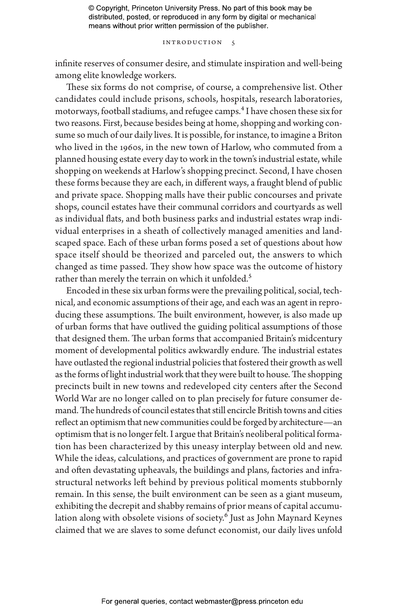#### Introduction 5

infinite reserves of consumer desire, and stimulate inspiration and well-being among elite knowledge workers.

These six forms do not comprise, of course, a comprehensive list. Other candidates could include prisons, schools, hospitals, research laboratories, motorways, football stadiums, and refugee camps.<sup>4</sup> I have chosen these six for two reasons. First, because besides being at home, shopping and working consume so much of our daily lives. It is possible, for instance, to imagine a Briton who lived in the 1960s, in the new town of Harlow, who commuted from a planned housing estate every day to work in the town's industrial estate, while shopping on weekends at Harlow's shopping precinct. Second, I have chosen these forms because they are each, in different ways, a fraught blend of public and private space. Shopping malls have their public concourses and private shops, council estates have their communal corridors and courtyards as well as individual flats, and both business parks and industrial estates wrap individual enterprises in a sheath of collectively managed amenities and landscaped space. Each of these urban forms posed a set of questions about how space itself should be theorized and parceled out, the answers to which changed as time passed. They show how space was the outcome of history rather than merely the terrain on which it unfolded.<sup>5</sup>

Encoded in these six urban forms were the prevailing political, social, technical, and economic assumptions of their age, and each was an agent in reproducing these assumptions. The built environment, however, is also made up of urban forms that have outlived the guiding political assumptions of those that designed them. The urban forms that accompanied Britain's midcentury moment of developmental politics awkwardly endure. The industrial estates have outlasted the regional industrial policies that fostered their growth as well as the forms of light industrial work that they were built to house. The shopping precincts built in new towns and redeveloped city centers after the Second World War are no longer called on to plan precisely for future consumer demand. The hundreds of council estates that still encircle British towns and cities reflect an optimism that new communities could be forged by architecture—an optimism that is no longer felt. I argue that Britain's neoliberal political formation has been characterized by this uneasy interplay between old and new. While the ideas, calculations, and practices of government are prone to rapid and often devastating upheavals, the buildings and plans, factories and infrastructural networks left behind by previous political moments stubbornly remain. In this sense, the built environment can be seen as a giant museum, exhibiting the decrepit and shabby remains of prior means of capital accumulation along with obsolete visions of society.<sup>6</sup> Just as John Maynard Keynes claimed that we are slaves to some defunct economist, our daily lives unfold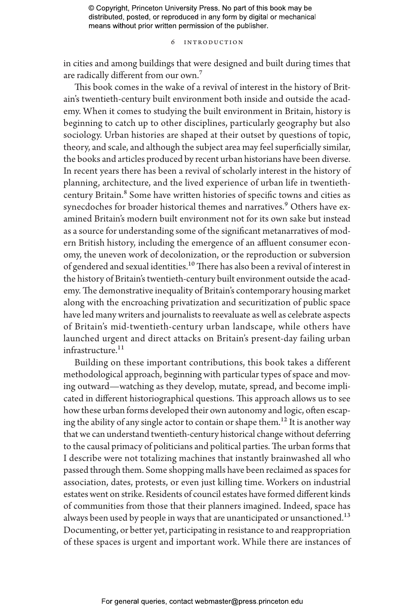#### 6 Introduction

in cities and among buildings that were designed and built during times that are radically different from our own.7

This book comes in the wake of a revival of interest in the history of Britain's twentieth-century built environment both inside and outside the academy. When it comes to studying the built environment in Britain, history is beginning to catch up to other disciplines, particularly geography but also sociology. Urban histories are shaped at their outset by questions of topic, theory, and scale, and although the subject area may feel superficially similar, the books and articles produced by recent urban historians have been diverse. In recent years there has been a revival of scholarly interest in the history of planning, architecture, and the lived experience of urban life in twentiethcentury Britain.<sup>8</sup> Some have written histories of specific towns and cities as synecdoches for broader historical themes and narratives.<sup>9</sup> Others have examined Britain's modern built environment not for its own sake but instead as a source for understanding some of the significant metanarratives of modern British history, including the emergence of an affluent consumer economy, the uneven work of decolonization, or the reproduction or subversion of gendered and sexual identities.<sup>10</sup> There has also been a revival of interest in the history of Britain's twentieth-century built environment outside the academy. The demonstrative inequality of Britain's contemporary housing market along with the encroaching privatization and securitization of public space have led many writers and journalists to reevaluate as well as celebrate aspects of Britain's mid-twentieth-century urban landscape, while others have launched urgent and direct attacks on Britain's present-day failing urban infrastructure.<sup>11</sup>

Building on these important contributions, this book takes a different methodological approach, beginning with particular types of space and moving outward—watching as they develop, mutate, spread, and become implicated in different historiographical questions. This approach allows us to see how these urban forms developed their own autonomy and logic, often escaping the ability of any single actor to contain or shape them.<sup>12</sup> It is another way that we can understand twentieth-century historical change without deferring to the causal primacy of politicians and political parties. The urban forms that I describe were not totalizing machines that instantly brainwashed all who passed through them. Some shopping malls have been reclaimed as spaces for association, dates, protests, or even just killing time. Workers on industrial estates went on strike. Residents of council estates have formed different kinds of communities from those that their planners imagined. Indeed, space has always been used by people in ways that are unanticipated or unsanctioned.<sup>13</sup> Documenting, or better yet, participating in resistance to and reappropriation of these spaces is urgent and important work. While there are instances of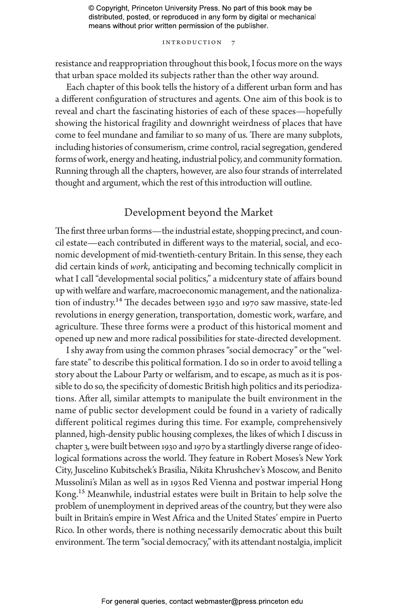#### INTRODUCTION

resistance and reappropriation throughout this book, I focus more on the ways that urban space molded its subjects rather than the other way around.

Each chapter of this book tells the history of a different urban form and has a different configuration of structures and agents. One aim of this book is to reveal and chart the fascinating histories of each of these spaces—hopefully showing the historical fragility and downright weirdness of places that have come to feel mundane and familiar to so many of us. There are many subplots, including histories of consumerism, crime control, racial segregation, gendered forms of work, energy and heating, industrial policy, and community formation. Running through all the chapters, however, are also four strands of interrelated thought and argument, which the rest of this introduction will outline.

## Development beyond the Market

The first three urban forms—the industrial estate, shopping precinct, and council estate—each contributed in different ways to the material, social, and economic development of mid-twentieth-century Britain. In this sense, they each did certain kinds of *work*, anticipating and becoming technically complicit in what I call "developmental social politics," a midcentury state of affairs bound up with welfare and warfare, macroeconomic management, and the nationalization of industry.<sup>14</sup> The decades between 1930 and 1970 saw massive, state-led revolutions in energy generation, transportation, domestic work, warfare, and agriculture. These three forms were a product of this historical moment and opened up new and more radical possibilities for state-directed development.

I shy away from using the common phrases "social democracy" or the "welfare state" to describe this political formation. I do so in order to avoid telling a story about the Labour Party or welfarism, and to escape, as much as it is possible to do so, the specificity of domestic British high politics and its periodizations. After all, similar attempts to manipulate the built environment in the name of public sector development could be found in a variety of radically different political regimes during this time. For example, comprehensively planned, high-density public housing complexes, the likes of which I discuss in chapter 3, were built between 1930 and 1970 by a startlingly diverse range of ideological formations across the world. They feature in Robert Moses's New York City, Juscelino Kubitschek's Brasilia, Nikita Khrushchev's Moscow, and Benito Mussolini's Milan as well as in 1930s Red Vienna and postwar imperial Hong Kong.15 Meanwhile, industrial estates were built in Britain to help solve the problem of unemployment in deprived areas of the country, but they were also built in Britain's empire in West Africa and the United States' empire in Puerto Rico. In other words, there is nothing necessarily democratic about this built environment. The term "social democracy," with its attendant nostalgia, implicit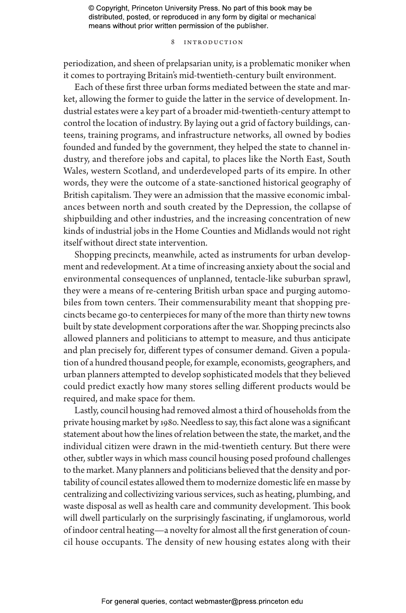#### 8 Introduction

periodization, and sheen of prelapsarian unity, is a problematic moniker when it comes to portraying Britain's mid-twentieth-century built environment.

Each of these first three urban forms mediated between the state and market, allowing the former to guide the latter in the service of development. Industrial estates were a key part of a broader mid-twentieth-century attempt to control the location of industry. By laying out a grid of factory buildings, canteens, training programs, and infrastructure networks, all owned by bodies founded and funded by the government, they helped the state to channel industry, and therefore jobs and capital, to places like the North East, South Wales, western Scotland, and underdeveloped parts of its empire. In other words, they were the outcome of a state-sanctioned historical geography of British capitalism. They were an admission that the massive economic imbalances between north and south created by the Depression, the collapse of shipbuilding and other industries, and the increasing concentration of new kinds of industrial jobs in the Home Counties and Midlands would not right itself without direct state intervention.

Shopping precincts, meanwhile, acted as instruments for urban development and redevelopment. At a time of increasing anxiety about the social and environmental consequences of unplanned, tentacle-like suburban sprawl, they were a means of re-centering British urban space and purging automobiles from town centers. Their commensurability meant that shopping precincts became go-to centerpieces for many of the more than thirty new towns built by state development corporations after the war. Shopping precincts also allowed planners and politicians to attempt to measure, and thus anticipate and plan precisely for, different types of consumer demand. Given a population of a hundred thousand people, for example, economists, geographers, and urban planners attempted to develop sophisticated models that they believed could predict exactly how many stores selling different products would be required, and make space for them.

Lastly, council housing had removed almost a third of households from the private housing market by 1980. Needless to say, this fact alone was a significant statement about how the lines of relation between the state, the market, and the individual citizen were drawn in the mid-twentieth century. But there were other, subtler ways in which mass council housing posed profound challenges to the market. Many planners and politicians believed that the density and portability of council estates allowed them to modernize domestic life en masse by centralizing and collectivizing various services, such as heating, plumbing, and waste disposal as well as health care and community development. This book will dwell particularly on the surprisingly fascinating, if unglamorous, world of indoor central heating—a novelty for almost all the first generation of council house occupants. The density of new housing estates along with their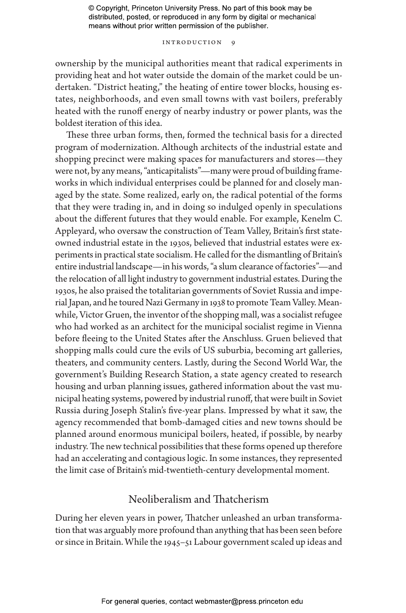#### INTRODUCTION 9

ownership by the municipal authorities meant that radical experiments in providing heat and hot water outside the domain of the market could be undertaken. "District heating," the heating of entire tower blocks, housing estates, neighborhoods, and even small towns with vast boilers, preferably heated with the runoff energy of nearby industry or power plants, was the boldest iteration of this idea.

These three urban forms, then, formed the technical basis for a directed program of modernization. Although architects of the industrial estate and shopping precinct were making spaces for manufacturers and stores—they were not, by any means, "anticapitalists"—many were proud of building frameworks in which individual enterprises could be planned for and closely managed by the state. Some realized, early on, the radical potential of the forms that they were trading in, and in doing so indulged openly in speculations about the different futures that they would enable. For example, Kenelm C. Appleyard, who oversaw the construction of Team Valley, Britain's first stateowned industrial estate in the 1930s, believed that industrial estates were experiments in practical state socialism. He called for the dismantling of Britain's entire industrial landscape—in his words, "a slum clearance of factories"—and the relocation of all light industry to government industrial estates. During the 1930s, he also praised the totalitarian governments of Soviet Russia and imperial Japan, and he toured Nazi Germany in 1938 to promote Team Valley. Meanwhile, Victor Gruen, the inventor of the shopping mall, was a socialist refugee who had worked as an architect for the municipal socialist regime in Vienna before fleeing to the United States after the Anschluss. Gruen believed that shopping malls could cure the evils of US suburbia, becoming art galleries, theaters, and community centers. Lastly, during the Second World War, the government's Building Research Station, a state agency created to research housing and urban planning issues, gathered information about the vast municipal heating systems, powered by industrial runoff, that were built in Soviet Russia during Joseph Stalin's five-year plans. Impressed by what it saw, the agency recommended that bomb-damaged cities and new towns should be planned around enormous municipal boilers, heated, if possible, by nearby industry. The new technical possibilities that these forms opened up therefore had an accelerating and contagious logic. In some instances, they represented the limit case of Britain's mid-twentieth-century developmental moment.

## Neoliberalism and Thatcherism

During her eleven years in power, Thatcher unleashed an urban transformation that was arguably more profound than anything that has been seen before or since in Britain. While the 1945–51 Labour government scaled up ideas and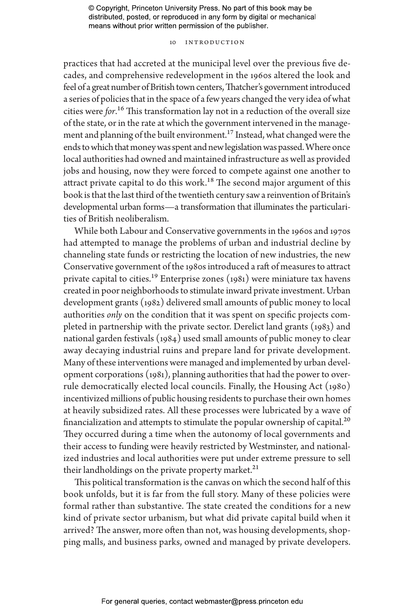#### 10 Introduction

practices that had accreted at the municipal level over the previous five decades, and comprehensive redevelopment in the 1960s altered the look and feel of a great number of British town centers, Thatcher's government introduced a series of policies that in the space of a few years changed the very idea of what cities were *for*.16 This transformation lay not in a reduction of the overall size of the state, or in the rate at which the government intervened in the management and planning of the built environment.17 Instead, what changed were the ends to which that money was spent and new legislation was passed. Where once local authorities had owned and maintained infrastructure as well as provided jobs and housing, now they were forced to compete against one another to attract private capital to do this work.<sup>18</sup> The second major argument of this book is that the last third of the twentieth century saw a reinvention of Britain's developmental urban forms—a transformation that illuminates the particularities of British neoliberalism.

While both Labour and Conservative governments in the 1960s and 1970s had attempted to manage the problems of urban and industrial decline by channeling state funds or restricting the location of new industries, the new Conservative government of the 1980s introduced a raft of measures to attract private capital to cities.<sup>19</sup> Enterprise zones  $(1981)$  were miniature tax havens created in poor neighborhoods to stimulate inward private investment. Urban development grants (1982) delivered small amounts of public money to local authorities *only* on the condition that it was spent on specific projects completed in partnership with the private sector. Derelict land grants (1983) and national garden festivals (1984) used small amounts of public money to clear away decaying industrial ruins and prepare land for private development. Many of these interventions were managed and implemented by urban development corporations (1981), planning authorities that had the power to overrule democratically elected local councils. Finally, the Housing Act (1980) incentivized millions of public housing residents to purchase their own homes at heavily subsidized rates. All these processes were lubricated by a wave of financialization and attempts to stimulate the popular ownership of capital.<sup>20</sup> They occurred during a time when the autonomy of local governments and their access to funding were heavily restricted by Westminster, and nationalized industries and local authorities were put under extreme pressure to sell their landholdings on the private property market.<sup>21</sup>

This political transformation is the canvas on which the second half of this book unfolds, but it is far from the full story. Many of these policies were formal rather than substantive. The state created the conditions for a new kind of private sector urbanism, but what did private capital build when it arrived? The answer, more often than not, was housing developments, shopping malls, and business parks, owned and managed by private developers.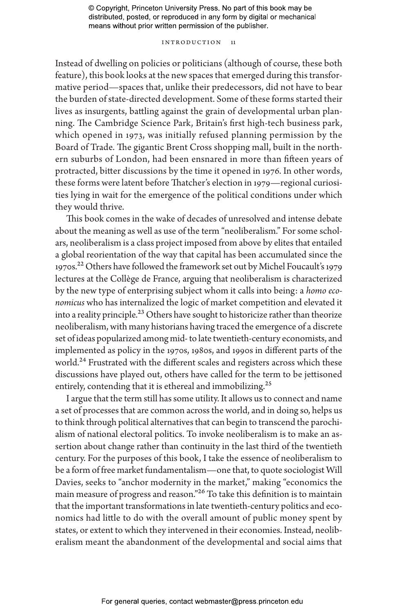#### INTRODUCTION 11

Instead of dwelling on policies or politicians (although of course, these both feature), this book looks at the new spaces that emerged during this transformative period—spaces that, unlike their predecessors, did not have to bear the burden of state-directed development. Some of these forms started their lives as insurgents, battling against the grain of developmental urban planning. The Cambridge Science Park, Britain's first high-tech business park, which opened in 1973, was initially refused planning permission by the Board of Trade. The gigantic Brent Cross shopping mall, built in the northern suburbs of London, had been ensnared in more than fifteen years of protracted, bitter discussions by the time it opened in 1976. In other words, these forms were latent before Thatcher's election in 1979—regional curiosities lying in wait for the emergence of the political conditions under which they would thrive.

This book comes in the wake of decades of unresolved and intense debate about the meaning as well as use of the term "neoliberalism." For some scholars, neoliberalism is a class project imposed from above by elites that entailed a global reorientation of the way that capital has been accumulated since the 1970s.22 Others have followed the framework set out by Michel Foucault's 1979 lectures at the Collège de France, arguing that neoliberalism is characterized by the new type of enterprising subject whom it calls into being: a *homo economicus* who has internalized the logic of market competition and elevated it into a reality principle.<sup>23</sup> Others have sought to historicize rather than theorize neoliberalism, with many historians having traced the emergence of a discrete set of ideas popularized among mid- to late twentieth-century economists, and implemented as policy in the 1970s, 1980s, and 1990s in different parts of the world.<sup>24</sup> Frustrated with the different scales and registers across which these discussions have played out, others have called for the term to be jettisoned entirely, contending that it is ethereal and immobilizing.<sup>25</sup>

I argue that the term still has some utility. It allows us to connect and name a set of processes that are common across the world, and in doing so, helps us to think through political alternatives that can begin to transcend the parochialism of national electoral politics. To invoke neoliberalism is to make an assertion about change rather than continuity in the last third of the twentieth century. For the purposes of this book, I take the essence of neoliberalism to be a form of free market fundamentalism—one that, to quote sociologist Will Davies, seeks to "anchor modernity in the market," making "economics the main measure of progress and reason."26 To take this definition is to maintain that the important transformations in late twentieth-century politics and economics had little to do with the overall amount of public money spent by states, or extent to which they intervened in their economies. Instead, neoliberalism meant the abandonment of the developmental and social aims that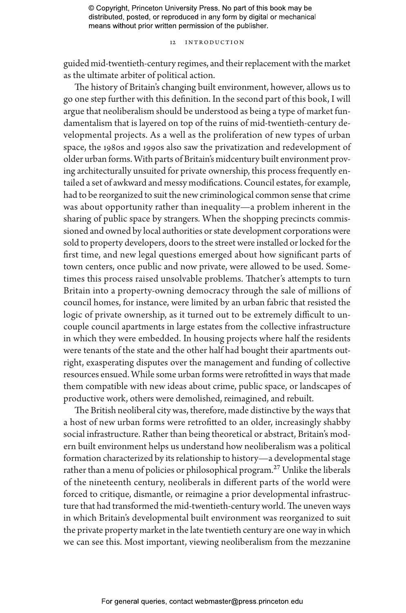#### 12 Introduction

guided mid-twentieth-century regimes, and their replacement with the market as the ultimate arbiter of political action.

The history of Britain's changing built environment, however, allows us to go one step further with this definition. In the second part of this book, I will argue that neoliberalism should be understood as being a type of market fundamentalism that is layered on top of the ruins of mid-twentieth-century developmental projects. As a well as the proliferation of new types of urban space, the 1980s and 1990s also saw the privatization and redevelopment of older urban forms. With parts of Britain's midcentury built environment proving architecturally unsuited for private ownership, this process frequently entailed a set of awkward and messy modifications. Council estates, for example, had to be reorganized to suit the new criminological common sense that crime was about opportunity rather than inequality—a problem inherent in the sharing of public space by strangers. When the shopping precincts commissioned and owned by local authorities or state development corporations were sold to property developers, doors to the street were installed or locked for the first time, and new legal questions emerged about how significant parts of town centers, once public and now private, were allowed to be used. Sometimes this process raised unsolvable problems. Thatcher's attempts to turn Britain into a property-owning democracy through the sale of millions of council homes, for instance, were limited by an urban fabric that resisted the logic of private ownership, as it turned out to be extremely difficult to uncouple council apartments in large estates from the collective infrastructure in which they were embedded. In housing projects where half the residents were tenants of the state and the other half had bought their apartments outright, exasperating disputes over the management and funding of collective resources ensued. While some urban forms were retrofitted in ways that made them compatible with new ideas about crime, public space, or landscapes of productive work, others were demolished, reimagined, and rebuilt.

The British neoliberal city was, therefore, made distinctive by the ways that a host of new urban forms were retrofitted to an older, increasingly shabby social infrastructure. Rather than being theoretical or abstract, Britain's modern built environment helps us understand how neoliberalism was a political formation characterized by its relationship to history—a developmental stage rather than a menu of policies or philosophical program.<sup>27</sup> Unlike the liberals of the nineteenth century, neoliberals in different parts of the world were forced to critique, dismantle, or reimagine a prior developmental infrastructure that had transformed the mid-twentieth-century world. The uneven ways in which Britain's developmental built environment was reorganized to suit the private property market in the late twentieth century are one way in which we can see this. Most important, viewing neoliberalism from the mezzanine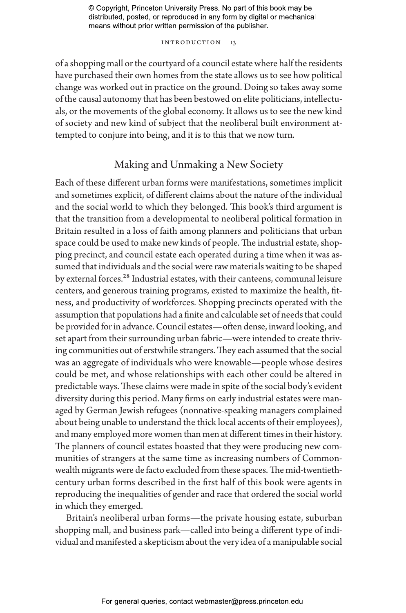#### INTRODUCTION 13

of a shopping mall or the courtyard of a council estate where half the residents have purchased their own homes from the state allows us to see how political change was worked out in practice on the ground. Doing so takes away some of the causal autonomy that has been bestowed on elite politicians, intellectuals, or the movements of the global economy. It allows us to see the new kind of society and new kind of subject that the neoliberal built environment attempted to conjure into being, and it is to this that we now turn.

## Making and Unmaking a New Society

Each of these different urban forms were manifestations, sometimes implicit and sometimes explicit, of different claims about the nature of the individual and the social world to which they belonged. This book's third argument is that the transition from a developmental to neoliberal political formation in Britain resulted in a loss of faith among planners and politicians that urban space could be used to make new kinds of people. The industrial estate, shopping precinct, and council estate each operated during a time when it was assumed that individuals and the social were raw materials waiting to be shaped by external forces.28 Industrial estates, with their canteens, communal leisure centers, and generous training programs, existed to maximize the health, fitness, and productivity of workforces. Shopping precincts operated with the assumption that populations had a finite and calculable set of needs that could be provided for in advance. Council estates—often dense, inward looking, and set apart from their surrounding urban fabric—were intended to create thriving communities out of erstwhile strangers. They each assumed that the social was an aggregate of individuals who were knowable—people whose desires could be met, and whose relationships with each other could be altered in predictable ways. These claims were made in spite of the social body's evident diversity during this period. Many firms on early industrial estates were managed by German Jewish refugees (nonnative-speaking managers complained about being unable to understand the thick local accents of their employees), and many employed more women than men at different times in their history. The planners of council estates boasted that they were producing new communities of strangers at the same time as increasing numbers of Commonwealth migrants were de facto excluded from these spaces. The mid-twentiethcentury urban forms described in the first half of this book were agents in reproducing the inequalities of gender and race that ordered the social world in which they emerged.

Britain's neoliberal urban forms—the private housing estate, suburban shopping mall, and business park—called into being a different type of individual and manifested a skepticism about the very idea of a manipulable social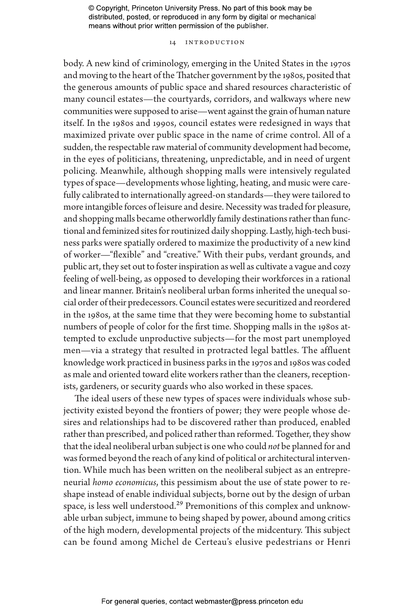#### 14 Introduction

body. A new kind of criminology, emerging in the United States in the 1970s and moving to the heart of the Thatcher government by the 1980s, posited that the generous amounts of public space and shared resources characteristic of many council estates—the courtyards, corridors, and walkways where new communities were supposed to arise—went against the grain of human nature itself. In the 1980s and 1990s, council estates were redesigned in ways that maximized private over public space in the name of crime control. All of a sudden, the respectable raw material of community development had become, in the eyes of politicians, threatening, unpredictable, and in need of urgent policing. Meanwhile, although shopping malls were intensively regulated types of space—developments whose lighting, heating, and music were carefully calibrated to internationally agreed-on standards—they were tailored to more intangible forces of leisure and desire. Necessity was traded for pleasure, and shopping malls became otherworldly family destinations rather than functional and feminized sites for routinized daily shopping. Lastly, high-tech business parks were spatially ordered to maximize the productivity of a new kind of worker—"flexible" and "creative." With their pubs, verdant grounds, and public art, they set out to foster inspiration as well as cultivate a vague and cozy feeling of well-being, as opposed to developing their workforces in a rational and linear manner. Britain's neoliberal urban forms inherited the unequal social order of their predecessors. Council estates were securitized and reordered in the 1980s, at the same time that they were becoming home to substantial numbers of people of color for the first time. Shopping malls in the 1980s attempted to exclude unproductive subjects—for the most part unemployed men—via a strategy that resulted in protracted legal battles. The affluent knowledge work practiced in business parks in the 1970s and 1980s was coded as male and oriented toward elite workers rather than the cleaners, receptionists, gardeners, or security guards who also worked in these spaces.

The ideal users of these new types of spaces were individuals whose subjectivity existed beyond the frontiers of power; they were people whose desires and relationships had to be discovered rather than produced, enabled rather than prescribed, and policed rather than reformed. Together, they show that the ideal neoliberal urban subject is one who could *not* be planned for and was formed beyond the reach of any kind of political or architectural intervention. While much has been written on the neoliberal subject as an entrepreneurial *homo economicus*, this pessimism about the use of state power to reshape instead of enable individual subjects, borne out by the design of urban space, is less well understood.<sup>29</sup> Premonitions of this complex and unknowable urban subject, immune to being shaped by power, abound among critics of the high modern, developmental projects of the midcentury. This subject can be found among Michel de Certeau's elusive pedestrians or Henri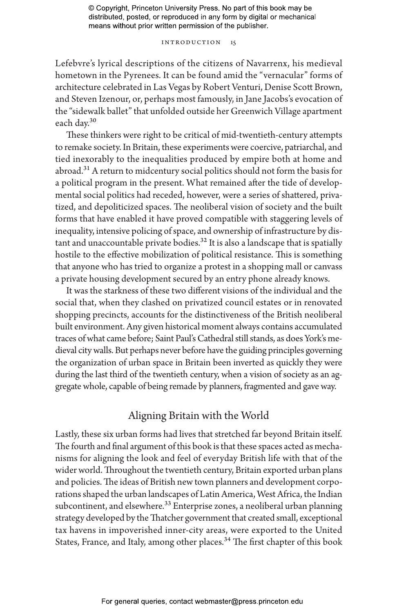#### Introduction 15

Lefebvre's lyrical descriptions of the citizens of Navarrenx, his medieval hometown in the Pyrenees. It can be found amid the "vernacular" forms of architecture celebrated in Las Vegas by Robert Venturi, Denise Scott Brown, and Steven Izenour, or, perhaps most famously, in Jane Jacobs's evocation of the "sidewalk ballet" that unfolded outside her Greenwich Village apartment each day.<sup>30</sup>

These thinkers were right to be critical of mid-twentieth-century attempts to remake society. In Britain, these experiments were coercive, patriarchal, and tied inexorably to the inequalities produced by empire both at home and abroad.<sup>31</sup> A return to midcentury social politics should not form the basis for a political program in the present. What remained after the tide of developmental social politics had receded, however, were a series of shattered, privatized, and depoliticized spaces. The neoliberal vision of society and the built forms that have enabled it have proved compatible with staggering levels of inequality, intensive policing of space, and ownership of infrastructure by distant and unaccountable private bodies.<sup>32</sup> It is also a landscape that is spatially hostile to the effective mobilization of political resistance. This is something that anyone who has tried to organize a protest in a shopping mall or canvass a private housing development secured by an entry phone already knows.

It was the starkness of these two different visions of the individual and the social that, when they clashed on privatized council estates or in renovated shopping precincts, accounts for the distinctiveness of the British neoliberal built environment. Any given historical moment always contains accumulated traces of what came before; Saint Paul's Cathedral still stands, as does York's medieval city walls. But perhaps never before have the guiding principles governing the organization of urban space in Britain been inverted as quickly they were during the last third of the twentieth century, when a vision of society as an aggregate whole, capable of being remade by planners, fragmented and gave way.

## Aligning Britain with the World

Lastly, these six urban forms had lives that stretched far beyond Britain itself. The fourth and final argument of this book is that these spaces acted as mechanisms for aligning the look and feel of everyday British life with that of the wider world. Throughout the twentieth century, Britain exported urban plans and policies. The ideas of British new town planners and development corporations shaped the urban landscapes of Latin America, West Africa, the Indian subcontinent, and elsewhere.<sup>33</sup> Enterprise zones, a neoliberal urban planning strategy developed by the Thatcher government that created small, exceptional tax havens in impoverished inner-city areas, were exported to the United States, France, and Italy, among other places.<sup>34</sup> The first chapter of this book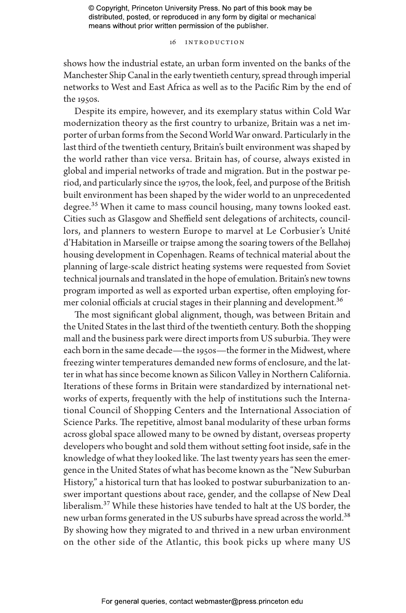#### 16 Introduction

shows how the industrial estate, an urban form invented on the banks of the Manchester Ship Canal in the early twentieth century, spread through imperial networks to West and East Africa as well as to the Pacific Rim by the end of the 1950s.

Despite its empire, however, and its exemplary status within Cold War modernization theory as the first country to urbanize, Britain was a net importer of urban forms from the Second World War onward. Particularly in the last third of the twentieth century, Britain's built environment was shaped by the world rather than vice versa. Britain has, of course, always existed in global and imperial networks of trade and migration. But in the postwar period, and particularly since the 1970s, the look, feel, and purpose of the British built environment has been shaped by the wider world to an unprecedented degree.<sup>35</sup> When it came to mass council housing, many towns looked east. Cities such as Glasgow and Sheffield sent delegations of architects, councillors, and planners to western Europe to marvel at Le Corbusier's Unité d'Habitation in Marseille or traipse among the soaring towers of the Bellahøj housing development in Copenhagen. Reams of technical material about the planning of large-scale district heating systems were requested from Soviet technical journals and translated in the hope of emulation. Britain's new towns program imported as well as exported urban expertise, often employing former colonial officials at crucial stages in their planning and development.<sup>36</sup>

The most significant global alignment, though, was between Britain and the United States in the last third of the twentieth century. Both the shopping mall and the business park were direct imports from US suburbia. They were each born in the same decade—the 1950s—the former in the Midwest, where freezing winter temperatures demanded new forms of enclosure, and the latter in what has since become known as Silicon Valley in Northern California. Iterations of these forms in Britain were standardized by international networks of experts, frequently with the help of institutions such the International Council of Shopping Centers and the International Association of Science Parks. The repetitive, almost banal modularity of these urban forms across global space allowed many to be owned by distant, overseas property developers who bought and sold them without setting foot inside, safe in the knowledge of what they looked like. The last twenty years has seen the emergence in the United States of what has become known as the "New Suburban History," a historical turn that has looked to postwar suburbanization to answer important questions about race, gender, and the collapse of New Deal liberalism.37 While these histories have tended to halt at the US border, the new urban forms generated in the US suburbs have spread across the world.<sup>38</sup> By showing how they migrated to and thrived in a new urban environment on the other side of the Atlantic, this book picks up where many US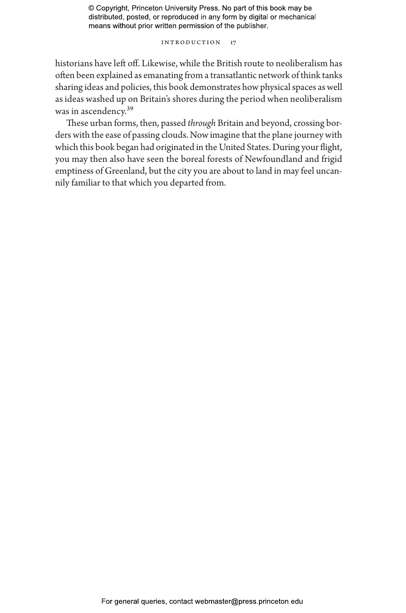#### INTRODUCTION 17

historians have left off. Likewise, while the British route to neoliberalism has often been explained as emanating from a transatlantic network of think tanks sharing ideas and policies, this book demonstrates how physical spaces as well as ideas washed up on Britain's shores during the period when neoliberalism was in ascendency.39

These urban forms, then, passed *through* Britain and beyond, crossing borders with the ease of passing clouds. Now imagine that the plane journey with which this book began had originated in the United States. During your flight, you may then also have seen the boreal forests of Newfoundland and frigid emptiness of Greenland, but the city you are about to land in may feel uncannily familiar to that which you departed from.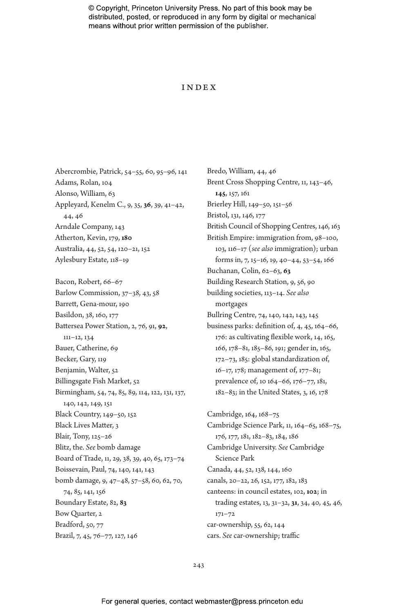#### **INDEX**

Abercrombie, Patrick, 54–55, 60, 95–96, 141 Adams, Rolan, 104 Alonso, William, 63 Appleyard, Kenelm C., 9, 35, **36**, 39, 41–42, 44, 46 Arndale Company, 143 Atherton, Kevin, 179, **180** Australia, 44, 52, 54, 120–21, 152 Aylesbury Estate, 118–19

Bacon, Robert, 66–67 Barlow Commission, 37–38, 43, 58 Barrett, Gena-mour, 190 Basildon, 38, 160, 177 Battersea Power Station, 2, 76, 91, **92**, 111–12, 134 Bauer, Catherine, 69 Becker, Gary, 119 Benjamin, Walter, 52 Billingsgate Fish Market, 52 Birmingham, 54, 74, 85, 89, 114, 122, 131, 137, 140, 142, 149, 151 Black Country, 149–50, 152 Black Lives Matter, 3 Blair, Tony, 125–26 Blitz, the. *See* bomb damage Board of Trade, 11, 29, 38, 39, 40, 65, 173–74 Boissevain, Paul, 74, 140, 141, 143 bomb damage, 9, 47–48, 57–58, 60, 62, 70, 74, 85, 141, 156 Boundary Estate, 82, **83** Bow Quarter, 2 Bradford, 50, 77 Brazil, 7, 45, 76–77, 127, 146

Bredo, William, 44, 46 Brent Cross Shopping Centre, 11, 143–46, **145**, 157, 161 Brierley Hill, 149–50, 151–56 Bristol, 131, 146, 177 British Council of Shopping Centres, 146, 163 British Empire: immigration from, 98–100, 103, 116–17 (*see also* immigration); urban forms in, 7, 15–16, 19, 40–44, 53–54, 166 Buchanan, Colin, 62–63, **63** Building Research Station, 9, 56, 90 building societies, 113–14. *See also* mortgages Bullring Centre, 74, 140, 142, 143, 145 business parks: definition of, 4, 45, 164–66, 176: as cultivating flexible work, 14, 165, 166, 178–81, 185–86, 191; gender in, 165, 172–73, 185: global standardization of, 16–17, 178; management of, 177–81; prevalence of, 10 164–66, 176–77, 181, 182–83; in the United States, 3, 16, 178

Cambridge, 164, 168–75 Cambridge Science Park, 11, 164–65, 168–75, 176, 177, 181, 182–83, 184, 186 Cambridge University. *See* Cambridge Science Park Canada, 44, 52, 138, 144, 160 canals, 20–22, 26, 152, 177, 182, 183 canteens: in council estates, 102, **102**; in trading estates, 13, 31–32, **31**, 34, 40, 45, 46, 171–72 car-ownership, 55, 62, 144 cars. *See* car-ownership; traffic

243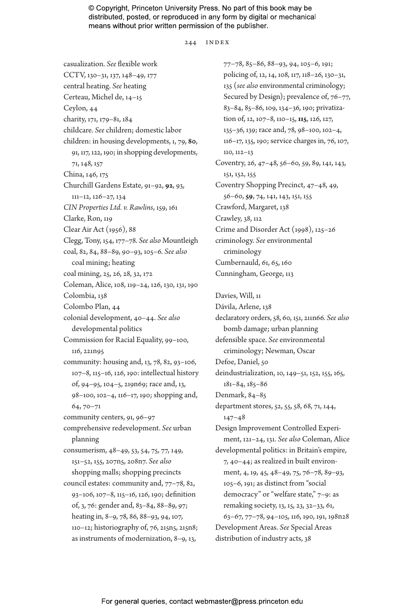244 INDEX

casualization. *See* flexible work CCTV, 130–31, 137, 148–49, 177 central heating. *See* heating Certeau, Michel de, 14–15 Ceylon, 44 charity, 171, 179–81, 184 childcare. *See* children; domestic labor children: in housing developments, 1, 79, **80**, 91, 117, 122, 190; in shopping developments, 71, 148, 157 China, 146, 175 Churchill Gardens Estate, 91–92, **92**, 93, 111–12, 126–27, 134 *CIN Properties Ltd. v. Rawlins*, 159, 161 Clarke, Ron, 119 Clear Air Act (1956), 88 Clegg, Tony, 154, 177–78. *See also* Mountleigh coal, 82, 84, 88–89, 90–93, 105–6. *See also* coal mining; heating coal mining, 25, 26, 28, 32, 172 Coleman, Alice, 108, 119–24, 126, 130, 131, 190 Colombia, 138 Colombo Plan, 44 colonial development, 40–44. *See also* developmental politics Commission for Racial Equality, 99–100, 116, 221n95 community: housing and, 13, 78, 82, 93–106, 107–8, 115–16, 126, 190: intellectual history of, 94–95, 104–5, 219n69; race and, 13, 98–100, 102–4, 116–17, 190; shopping and, 64, 70–71 community centers, 91, 96–97 comprehensive redevelopment. *See* urban planning consumerism, 48–49, 53, 54, 75, 77, 149, 151–52, 155, 207n5, 208n7. *See also* shopping malls; shopping precincts council estates: community and, 77–78, 82, 93–106, 107–8, 115–16, 126, 190; definition of, 3, 76: gender and, 83–84, 88–89, 97; heating in, 8–9, 78, 86, 88–93, 94, 107, 110–12; historiography of, 76, 215n5, 215n8; as instruments of modernization, 8–9, 13,

77–78, 85–86, 88–93, 94, 105–6, 191; policing of, 12, 14, 108, 117, 118–26, 130–31, 135 (*see also* environmental criminology; Secured by Design); prevalence of,  $76-77$ , 83–84, 85–86, 109, 134–36, 190; privatization of, 12, 107–8, 110–15, **115**, 126, 127, 135–36, 139; race and, 78, 98–100, 102–4, 116–17, 135, 190; service charges in, 76, 107, 110, 112–13 Coventry, 26, 47–48, 56–60, 59, 89, 141, 143, 151, 152, 155 Coventry Shopping Precinct, 47–48, 49, 56–60, **59**, 74, 141, 143, 151, 155 Crawford, Margaret, 138 Crawley, 38, 112 Crime and Disorder Act (1998), 125–26 criminology. *See* environmental criminology Cumbernauld, 61, 65, 160 Cunningham, George, 113

Davies, Will, 11 Dávila, Arlene, 138 declaratory orders, 58, 60, 151, 211n66. *See also* bomb damage; urban planning defensible space. *See* environmental criminology; Newman, Oscar Defoe, Daniel, 50 deindustrialization, 10, 149–51, 152, 155, 165, 181–84, 185–86 Denmark, 84–85 department stores, 52, 55, 58, 68, 71, 144, 147–48 Design Improvement Controlled Experiment, 121–24, 131. *See also* Coleman, Alice developmental politics: in Britain's empire, 7, 40–44; as realized in built environment, 4, 19, 45, 48–49, 75, 76–78, 89–93, 105–6, 191; as distinct from "social democracy" or "welfare state," 7–9: as remaking society, 13, 15, 23, 32–33, 61, 63–67, 77–78, 94–105, 116, 190, 191, 198n28 Development Areas. *See* Special Areas distribution of industry acts, 38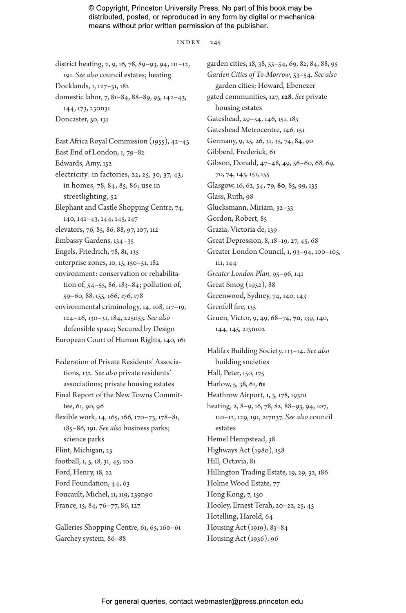index 245

district heating, 2, 9, 16, 78, 89–93, 94, 111–12, 191. *See also* council estates; heating Docklands, 1, 127–31, 182 domestic labor, 7, 81–84, 88–89, 95, 142–43, 144, 173, 230n31 Doncaster, 50, 131 East Africa Royal Commission (1955), 42–43 East End of London, 1, 79–82 Edwards, Amy, 152 electricity: in factories, 22, 25, 30, 37, 43; in homes, 78, 84, 85, 86; use in streetlighting, 52 Elephant and Castle Shopping Centre, 74, 140, 141–43, 144, 145, 147 elevators, 76, 85, 86, 88, 97, 107, 112 Embassy Gardens, 134–35 Engels, Friedrich, 78, 81, 135 enterprise zones, 10, 15, 150–51, 182 environment: conservation or rehabilitation of, 54–55, 86, 183–84; pollution of, 59–60, 88, 155, 166, 176, 178 environmental criminology, 14, 108, 117–19, 124–26, 130–31, 184, 225n53. *See also* defensible space; Secured by Design European Court of Human Rights, 140, 161 Federation of Private Residents' Associations, 132. *See also* private residents' associations; private housing estates Final Report of the New Towns Commit-

tee, 61, 90, 96 flexible work, 14, 165, 166, 170–73, 178–81, 185–86, 191. *See also* business parks; science parks Flint, Michigan, 23 football, 1, 5, 18, 31, 45, 100 Ford, Henry, 18, 22 Ford Foundation, 44, 63 Foucault, Michel, 11, 119, 239n90 France, 15, 84, 76–77, 86, 127

Galleries Shopping Centre, 61, 65, 160–61 Garchey system, 86–88

garden cities, 18, 38, 53–54, 69, 82, 84, 88, 95 *Garden Cities of To-Morrow*, 53–54. *See also* garden cities; Howard, Ebenezer gated communities, 127, **128**. *See* private housing estates Gateshead, 29–34, 146, 151, 183 Gateshead Metrocentre, 146, 151 Germany, 9, 25, 26, 31, 35, 74, 84, 90 Gibberd, Frederick, 61 Gibson, Donald, 47–48, 49, 56–60, 68, 69, 70, 74, 143, 151, 155 Glasgow, 16, 62, 54, 79, **80**, 85, 99, 135 Glass, Ruth, 98 Glucksmann, Miriam, 32–33 Gordon, Robert, 85 Grazia, Victoria de, 139 Great Depression, 8, 18–19, 27, 45, 68 Greater London Council, 1, 93–94, 100–105, 111, 144 *Greater London Plan*, 95–96, 141 Great Smog (1952), 88 Greenwood, Sydney, 74, 140, 143 Grenfell fire, 135 Gruen, Victor, 9, 49, 68–74, **70**, 139, 140, 144, 145, 213n102

Halifax Building Society, 113–14. *See also* building societies Hall, Peter, 150, 175 Harlow, 5, 38, 61, **61** Heathrow Airport, 1, 3, 178, 193n1 heating, 2, 8–9, 16, 78, 82, 88–93, 94, 107, 110–12, 129, 191, 217n37. *See also* council estates Hemel Hempstead, 38 Highways Act (1980), 158 Hill, Octavia, 81 Hillington Trading Estate, 19, 29, 32, 186 Holme Wood Estate, 77 Hong Kong, 7, 150 Hooley, Ernest Terah, 20–22, 25, 45 Hotelling, Harold, 64 Housing Act (1919), 83–84 Housing Act (1936), 96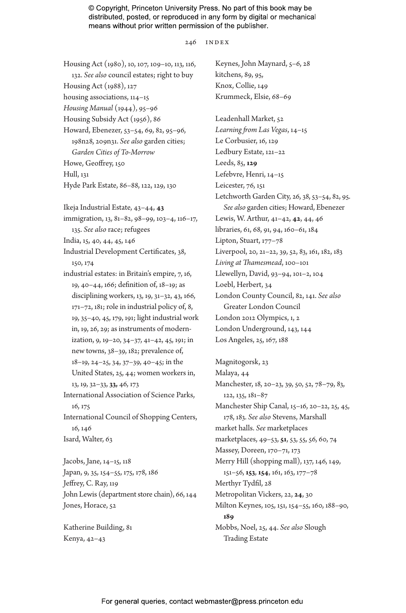#### 246 INDEX

Housing Act (1980), 10, 107, 109–10, 113, 116, 132. *See also* council estates; right to buy Housing Act (1988), 127 housing associations, 114–15 *Housing Manual* (1944), 95–96 Housing Subsidy Act (1956), 86 Howard, Ebenezer, 53–54, 69, 82, 95–96, 198n28, 209n31. *See also* garden cities; *Garden Cities of To-Morrow* Howe, Geoffrey, 150 Hull, 131 Hyde Park Estate, 86–88, 122, 129, 130 Ikeja Industrial Estate, 43–44, **43** immigration, 13, 81–82, 98–99, 103–4, 116–17, 135. *See also* race; refugees India, 15, 40, 44, 45, 146 Industrial Development Certificates, 38, 150, 174 industrial estates: in Britain's empire, 7, 16, 19, 40–44, 166; definition of, 18–19; as disciplining workers, 13, 19, 31–32, 43, 166, 171–72, 181; role in industrial policy of, 8, 19, 35–40, 45, 179, 191; light industrial work in, 19, 26, 29; as instruments of modernization, 9, 19–20, 34–37, 41–42, 45, 191; in new towns, 38–39, 182; prevalence of, 18–19, 24–25, 34, 37–39, 40–45; in the United States, 25, 44; women workers in, 13, 19, 32–33, **33,** 46, 173 International Association of Science Parks, 16, 175 International Council of Shopping Centers, 16, 146 Isard, Walter, 63 Jacobs, Jane, 14–15, 118 Japan, 9, 35, 154–55, 175, 178, 186 Jeffrey, C. Ray, 119 John Lewis (department store chain), 66, 144

Katherine Building, 81 Kenya, 42–43

Jones, Horace, 52

Keynes, John Maynard, 5–6, 28 kitchens, 89, 95, Knox, Collie, 149 Krummeck, Elsie, 68–69 Leadenhall Market, 52 *Learning from Las Vegas*, 14–15 Le Corbusier, 16, 129 Ledbury Estate, 121–22 Leeds, 85, **129** Lefebvre, Henri, 14–15 Leicester, 76, 151 Letchworth Garden City, 26, 38, 53–54, 82, 95. *See also* garden cities; Howard, Ebenezer Lewis, W. Arthur, 41–42, **42**, 44, 46 libraries, 61, 68, 91, 94, 160–61, 184 Lipton, Stuart, 177–78 Liverpool, 20, 21–22, 39, 52, 83, 161, 182, 183 *Living at Thamesmead*, 100–101 Llewellyn, David, 93–94, 101–2, 104 Loebl, Herbert, 34 London County Council, 82, 141. *See also* Greater London Council London 2012 Olympics, 1, 2 London Underground, 143, 144 Los Angeles, 25, 167, 188

Magnitogorsk, 23 Malaya, 44 Manchester, 18, 20–23, 39, 50, 52, 78–79, 83, 122, 135, 181–87 Manchester Ship Canal, 15–16, 20–22, 25, 45, 178, 183. *See also* Stevens, Marshall market halls. *See* marketplaces marketplaces, 49–53, **51**, 53, 55, 56, 60, 74 Massey, Doreen, 170–71, 173 Merry Hill (shopping mall), 137, 146, 149, 151–56, **153**, **154**, 161, 163, 177–78 Merthyr Tydfil, 28 Metropolitan Vickers, 22, **24**, 30 Milton Keynes, 105, 151, 154–55, 160, 188–90, **189** Mobbs, Noel, 25, 44. *See also* Slough Trading Estate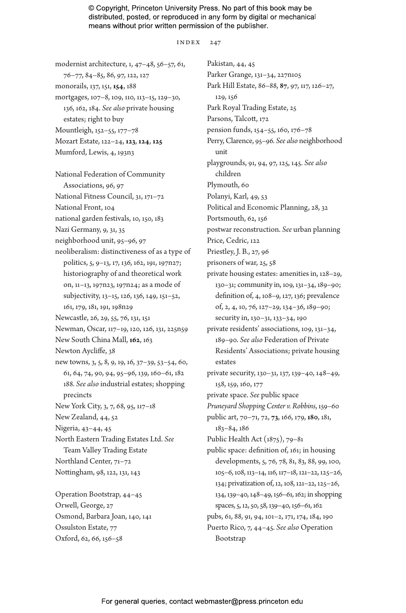index 247

modernist architecture, 1, 47–48, 56–57, 61, 76–77, 84–85, 86, 97, 122, 127 monorails, 137, 151, **154**, 188 mortgages, 107–8, 109, 110, 113–15, 129–30, 136, 162, 184. *See also* private housing estates; right to buy Mountleigh, 152–55, 177–78 Mozart Estate, 122–24, **123**, **124**, **125** Mumford, Lewis, 4, 193n3 National Federation of Community Associations, 96, 97 National Fitness Council, 31, 171–72 National Front, 104 national garden festivals, 10, 150, 183 Nazi Germany, 9, 31, 35 neighborhood unit, 95–96, 97 neoliberalism: distinctiveness of as a type of politics, 5, 9–13, 17, 136, 162, 191, 197n27; historiography of and theoretical work on, 11–13, 197n23, 197n24; as a mode of subjectivity, 13–15, 126, 136, 149, 151–52, 161, 179, 181, 191, 198n29 Newcastle, 26, 29, 55, 76, 131, 151 Newman, Oscar, 117–19, 120, 126, 131, 225n59 New South China Mall, **162**, 163 Newton Aycliffe, 38 new towns, 3, 5, 8, 9, 19, 16, 37–39, 53–54, 60, 61, 64, 74, 90, 94, 95–96, 139, 160–61, 182 188. *See also* industrial estates; shopping precincts New York City, 3, 7, 68, 95, 117–18 New Zealand, 44, 52 Nigeria, 43–44, 45 North Eastern Trading Estates Ltd. *See* Team Valley Trading Estate Northland Center, 71–72 Nottingham, 98, 122, 131, 143 Operation Bootstrap, 44–45 Orwell, George, 27 Osmond, Barbara Joan, 140, 141 Ossulston Estate, 77 Oxford, 62, 66, 156–58

Pakistan, 44, 45 Parker Grange, 131–34, 227n105 Park Hill Estate, 86–88, **87**, 97, 117, 126–27, 129, 156 Park Royal Trading Estate, 25 Parsons, Talcott, 172 pension funds, 154–55, 160, 176–78 Perry, Clarence, 95–96. *See also* neighborhood unit playgrounds, 91, 94, 97, 125, 145. *See also* children Plymouth, 60 Polanyi, Karl, 49, 53 Political and Economic Planning, 28, 32 Portsmouth, 62, 156 postwar reconstruction. *See* urban planning Price, Cedric, 122 Priestley, J. B., 27, 96 prisoners of war, 25, 58 private housing estates: amenities in, 128–29, 130–31; community in, 109, 131–34, 189–90; definition of, 4, 108–9, 127, 136; prevalence of, 2, 4, 10, 76, 127–29, 134–36, 189–90; security in, 130–31, 133–34, 190 private residents' associations, 109, 131–34, 189–90. *See also* Federation of Private Residents' Associations; private housing estates private security, 130–31, 137, 139–40, 148–49, 158, 159, 160, 177 private space. *See* public space *Pruneyard Shopping Center v. Robbins*, 159–60 public art, 70–71, 72, **73**, 166, 179, **180**, 181, 183–84, 186 Public Health Act (1875), 79–81 public space: definition of, 161; in housing developments, 5, 76, 78, 81, 83, 88, 99, 100, 105–6, 108, 113–14, 116, 117–18, 121–22, 125–26, 134; privatization of, 12, 108, 121–22, 125–26, 134, 139–40, 148–49, 156–61, 162; in shopping spaces, 5, 12, 50, 58, 139–40, 156–61, 162 pubs, 61, 88, 91, 94, 101–2, 171, 174, 184, 190 Puerto Rico, 7, 44–45. *See also* Operation Bootstrap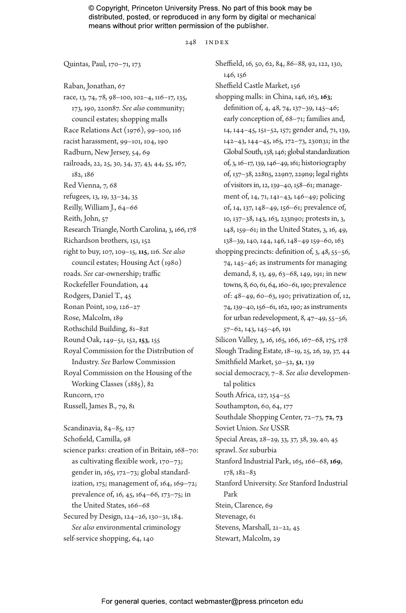#### 248 INDEX

Quintas, Paul, 170–71, 173

Raban, Jonathan, 67 race, 13, 74, 78, 98–100, 102–4, 116–17, 135, 173, 190, 220n87. *See also* community; council estates; shopping malls Race Relations Act (1976), 99–100, 116 racist harassment, 99–101, 104, 190 Radburn, New Jersey, 54, 69 railroads, 22, 25, 30, 34, 37, 43, 44, 55, 167, 182, 186 Red Vienna, 7, 68 refugees, 13, 19, 33–34, 35 Reilly, William J., 64–66 Reith, John, 57 Research Triangle, North Carolina, 3, 166, 178 Richardson brothers, 151, 152 right to buy, 107, 109–15, **115**, 116. *See also* council estates; Housing Act (1980) roads. *See* car-ownership; traffic Rockefeller Foundation, 44 Rodgers, Daniel T., 45 Ronan Point, 109, 126–27 Rose, Malcolm, 189 Rothschild Building, 81–82t Round Oak, 149–51, 152, **153**, 155 Royal Commission for the Distribution of Industry. *See* Barlow Commission Royal Commission on the Housing of the Working Classes (1885), 82 Runcorn, 170 Russell, James B., 79, 81 Scandinavia, 84–85, 127 Schofield, Camilla, 98 science parks: creation of in Britain, 168–70: as cultivating flexible work, 170–73; gender in, 165, 172–73; global standardization, 175; management of, 164, 169–72; prevalence of, 16, 45, 164–66, 173–75; in the United States, 166–68 Secured by Design, 124–26, 130–31, 184. *See also* environmental criminology self-service shopping, 64, 140

Sheffield, 16, 50, 62, 84, 86–88, 92, 122, 130, 146, 156 Sheffield Castle Market, 156 shopping malls: in China, 146, 163, **163**; definition of, 4, 48, 74, 137–39, 145–46; early conception of, 68–71; families and, 14, 144–45, 151–52, 157; gender and, 71, 139, 142–43, 144–45, 165, 172–73, 230n31; in the Global South, 138, 146; global standardization of, 3, 16–17, 139, 146–49, 161; historiography of, 137–38, 228n5, 229n7, 229n9; legal rights of visitors in, 12, 139–40, 158–61; management of, 14, 71, 141–43, 146–49; policing of, 14, 137, 148–49, 156–61; prevalence of, 10, 137–38, 143, 163, 233n90; protests in, 3, 148, 159–61; in the United States, 3, 16, 49, 138–39, 140, 144, 146, 148–49 159–60, 163 shopping precincts: definition of, 3, 48, 55–56, 74, 145–46; as instruments for managing demand, 8, 13, 49, 63–68, 149, 191; in new towns, 8, 60, 61, 64, 160–61, 190; prevalence of: 48–49, 60–63, 190; privatization of, 12, 74, 139–40, 156–61, 162, 190; as instruments for urban redevelopment, 8, 47–49, 55–56, 57–62, 143, 145–46, 191 Silicon Valley, 3, 16, 165, 166, 167-68, 175, 178 Slough Trading Estate, 18–19, 25, 26, 29, 37, 44 Smithfield Market, 50–52, **51**, 139 social democracy, 7–8. *See also* developmental politics South Africa, 127, 154–55 Southampton, 60, 64, 177 Southdale Shopping Center, 72–73, **72**, **73** Soviet Union. *See* USSR Special Areas, 28–29, 33, 37, 38, 39, 40, 45 sprawl. *See* suburbia Stanford Industrial Park, 165, 166–68, **169**, 178, 182–83 Stanford University. *See* Stanford Industrial Park Stein, Clarence, 69 Stevenage, 61 Stevens, Marshall, 21–22, 45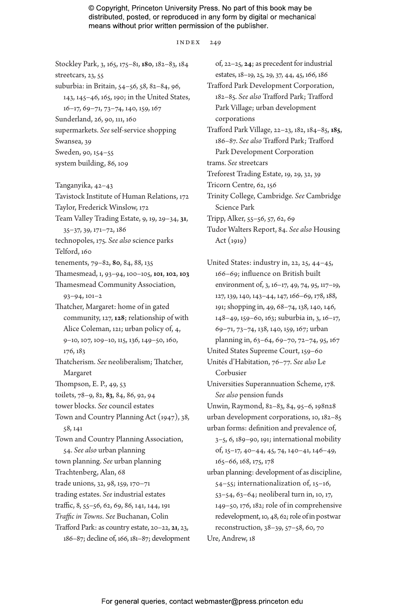index 249

Stockley Park, 3, 165, 175–81, **180**, 182–83, 184 streetcars, 23, 55 suburbia: in Britain, 54–56, 58, 82–84, 96, 143, 145–46, 165, 190; in the United States, 16–17, 69–71, 73–74, 140, 159, 167 Sunderland, 26, 90, 111, 160 supermarkets. *See* self-service shopping Swansea, 39 Sweden, 90, 154–55 system building, 86, 109 Tanganyika, 42–43

Tavistock Institute of Human Relations, 172 Taylor, Frederick Winslow, 172 Team Valley Trading Estate, 9, 19, 29–34, **31**, 35–37, 39, 171–72, 186 technopoles, 175. *See also* science parks Telford, 160 tenements, 79–82, **80**, 84, 88, 135 Thamesmead, 1, 93–94, 100–105, **101**, **102**, **103** Thamesmead Community Association, 93–94, 101–2 Thatcher, Margaret: home of in gated community, 127, **128**; relationship of with Alice Coleman, 121; urban policy of, 4, 9–10, 107, 109–10, 115, 136, 149–50, 160, 176, 183 Thatcherism. *See* neoliberalism; Thatcher, Margaret Thompson, E. P., 49, 53 toilets, 78–9, 82, **83**, 84, 86, 92, 94 tower blocks. *See* council estates Town and Country Planning Act (1947), 38, 58, 141 Town and Country Planning Association, 54. *See also* urban planning town planning. *See* urban planning Trachtenberg, Alan, 68 trade unions, 32, 98, 159, 170–71 trading estates. *See* industrial estates traffic, 8, 55–56, 62, 69, 86, 141, 144, 191 *Traffic in Towns*. *See* Buchanan, Colin Trafford Park: as country estate, 20–22, **21**, 23, 186–87; decline of, 166, 181–87; development

of, 22–25, **24**; as precedent for industrial estates, 18–19, 25, 29, 37, 44, 45, 166, 186 Trafford Park Development Corporation, 182–85. *See also* Trafford Park; Trafford Park Village; urban development corporations Trafford Park Village, 22–23, 182, 184–85, **185**, 186–87. *See also* Trafford Park; Trafford Park Development Corporation trams. *See* streetcars Treforest Trading Estate, 19, 29, 32, 39 Tricorn Centre, 62, 156 Trinity College, Cambridge. *See* Cambridge Science Park Tripp, Alker, 55–56, 57, 62, 69 Tudor Walters Report, 84. *See also* Housing Act (1919)

United States: industry in, 22, 25, 44–45, 166–69; influence on British built environment of, 3, 16–17, 49, 74, 95, 117–19, 127, 139, 140, 143–44, 147, 166–69, 178, 188, 191; shopping in, 49, 68–74, 138, 140, 146, 148–49, 159–60, 163; suburbia in, 3, 16–17, 69–71, 73–74, 138, 140, 159, 167; urban planning in, 63–64, 69–70, 72–74, 95, 167 United States Supreme Court, 159–60

Unités d'Habitation, 76–77. *See also* Le Corbusier

Universities Superannuation Scheme, 178. *See also* pension funds

Unwin, Raymond, 82–83, 84, 95–6, 198n28 urban development corporations, 10, 182–85 urban forms: definition and prevalence of,

3–5, 6, 189–90, 191; international mobility of, 15–17, 40–44, 45, 74, 140–41, 146–49, 165–66, 168, 175, 178

urban planning: development of as discipline, 54–55; internationalization of, 15–16, 53–54, 63–64; neoliberal turn in, 10, 17, 149–50, 176, 182; role of in comprehensive redevelopment, 10, 48, 62; role of in postwar reconstruction, 38–39, 57–58, 60, 70 Ure, Andrew, 18